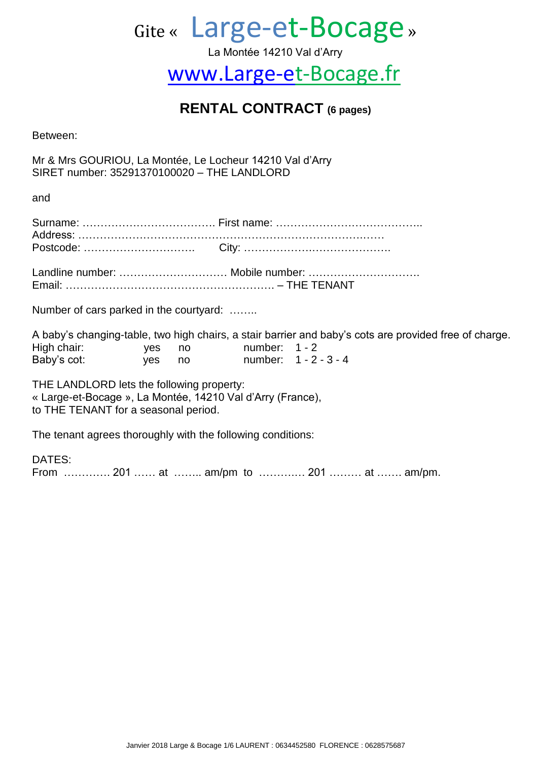# Gite « Large-et-Bocage »

La Montée 14210 Val d'Arry

## [www.Large-et-Bocage.fr](http://www.large-et-bocage.fr/)

### **RENTAL CONTRACT (6 pages)**

Between:

Mr & Mrs GOURIOU, La Montée, Le Locheur 14210 Val d'Arry SIRET number: 35291370100020 – THE LANDLORD

and

| Number of cars parked in the courtyard:                                                                                                         |  |  |                                                                                                        |  |  |  |  |  |
|-------------------------------------------------------------------------------------------------------------------------------------------------|--|--|--------------------------------------------------------------------------------------------------------|--|--|--|--|--|
|                                                                                                                                                 |  |  | A baby's changing-table, two high chairs, a stair barrier and baby's cots are provided free of charge. |  |  |  |  |  |
| High chair: yes no number: 1 - 2                                                                                                                |  |  |                                                                                                        |  |  |  |  |  |
| Baby's cot: yes no number: 1 - 2 - 3 - 4                                                                                                        |  |  |                                                                                                        |  |  |  |  |  |
| THE LANDLORD lets the following property:<br>« Large-et-Bocage », La Montée, 14210 Val d'Arry (France),<br>to THE TENANT for a seasonal period. |  |  |                                                                                                        |  |  |  |  |  |

The tenant agrees thoroughly with the following conditions:

DATES: From …………. 201 …… at …….. am/pm to ……….… 201 ……… at ……. am/pm.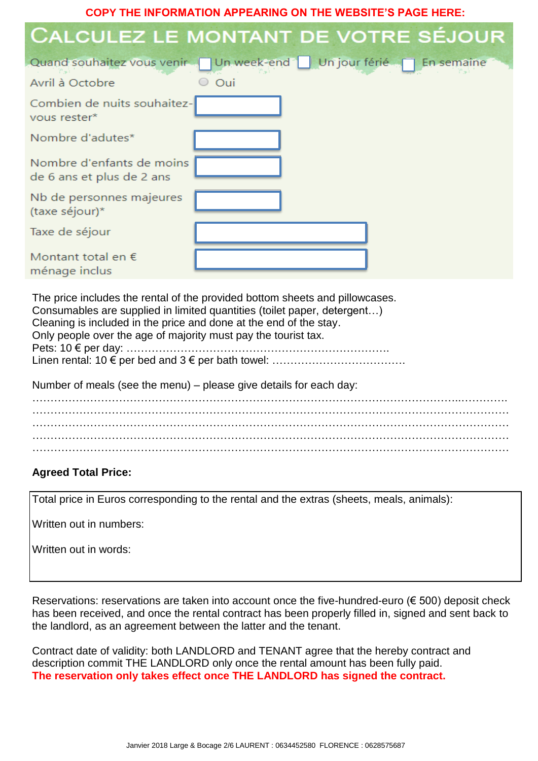**COPY THE INFORMATION APPEARING ON THE WEBSITE'S PAGE HERE:**

| CALCULEZ LE MONTANT DE VOTRE SÉJOUR                                                                                                                                                                                                                                                                                          |       |  |  |
|------------------------------------------------------------------------------------------------------------------------------------------------------------------------------------------------------------------------------------------------------------------------------------------------------------------------------|-------|--|--|
| Quand souhaitez vous venir J Un week-end J Un jour férié J En semaine                                                                                                                                                                                                                                                        |       |  |  |
| Avril à Octobre                                                                                                                                                                                                                                                                                                              | ○ Oui |  |  |
| Combien de nuits souhaitez-<br>vous rester*                                                                                                                                                                                                                                                                                  |       |  |  |
| Nombre d'adutes*                                                                                                                                                                                                                                                                                                             |       |  |  |
| Nombre d'enfants de moins<br>de 6 ans et plus de 2 ans                                                                                                                                                                                                                                                                       |       |  |  |
| Nb de personnes majeures<br>(taxe séjour)*                                                                                                                                                                                                                                                                                   |       |  |  |
| Taxe de séjour                                                                                                                                                                                                                                                                                                               |       |  |  |
| Montant total en $\epsilon$<br>ménage inclus                                                                                                                                                                                                                                                                                 |       |  |  |
| The price includes the rental of the provided bottom sheets and pillowcases.<br>Consumables are supplied in limited quantities (toilet paper, detergent)<br>Cleaning is included in the price and done at the end of the stay.<br>Only people over the age of majority must pay the tourist tax.<br>Pets: $10 \in per day$ : |       |  |  |
|                                                                                                                                                                                                                                                                                                                              |       |  |  |

Number of meals (see the menu) – please give details for each day: ………………………………………………………………………………………………………..…………. ……………………………………………………………………………………………………………………  $\mathcal{L}^{\text{max}}_{\text{max}}$ ……………………………………………………………………………………………………………………

……………………………………………………………………………………………………………………

#### **Agreed Total Price:**

Total price in Euros corresponding to the rental and the extras (sheets, meals, animals):

Written out in numbers:

Written out in words:

Reservations: reservations are taken into account once the five-hundred-euro (€ 500) deposit check has been received, and once the rental contract has been properly filled in, signed and sent back to the landlord, as an agreement between the latter and the tenant.

Contract date of validity: both LANDLORD and TENANT agree that the hereby contract and description commit THE LANDLORD only once the rental amount has been fully paid. **The reservation only takes effect once THE LANDLORD has signed the contract.**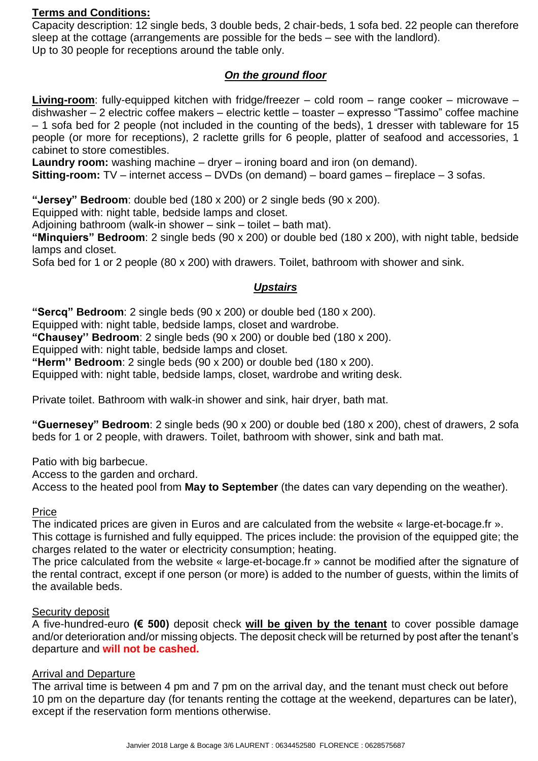#### **Terms and Conditions:**

Capacity description: 12 single beds, 3 double beds, 2 chair-beds, 1 sofa bed. 22 people can therefore sleep at the cottage (arrangements are possible for the beds – see with the landlord). Up to 30 people for receptions around the table only.

#### *On the ground floor*

**Living-room**: fully-equipped kitchen with fridge/freezer – cold room – range cooker – microwave – dishwasher – 2 electric coffee makers – electric kettle – toaster – expresso "Tassimo" coffee machine – 1 sofa bed for 2 people (not included in the counting of the beds), 1 dresser with tableware for 15 people (or more for receptions), 2 raclette grills for 6 people, platter of seafood and accessories, 1 cabinet to store comestibles.

**Laundry room:** washing machine – dryer – ironing board and iron (on demand).

**Sitting-room:** TV – internet access – DVDs (on demand) – board games – fireplace – 3 sofas.

**"Jersey" Bedroom**: double bed (180 x 200) or 2 single beds (90 x 200).

Equipped with: night table, bedside lamps and closet.

Adjoining bathroom (walk-in shower – sink – toilet – bath mat).

**"Minquiers" Bedroom**: 2 single beds (90 x 200) or double bed (180 x 200), with night table, bedside lamps and closet.

Sofa bed for 1 or 2 people (80 x 200) with drawers. Toilet, bathroom with shower and sink.

#### *Upstairs*

**"Sercq" Bedroom**: 2 single beds (90 x 200) or double bed (180 x 200).

Equipped with: night table, bedside lamps, closet and wardrobe.

**"Chausey'' Bedroom**: 2 single beds (90 x 200) or double bed (180 x 200).

Equipped with: night table, bedside lamps and closet.

**"Herm'' Bedroom**: 2 single beds (90 x 200) or double bed (180 x 200).

Equipped with: night table, bedside lamps, closet, wardrobe and writing desk.

Private toilet. Bathroom with walk-in shower and sink, hair dryer, bath mat.

**"Guernesey" Bedroom**: 2 single beds (90 x 200) or double bed (180 x 200), chest of drawers, 2 sofa beds for 1 or 2 people, with drawers. Toilet, bathroom with shower, sink and bath mat.

Patio with big barbecue.

Access to the garden and orchard.

Access to the heated pool from **May to September** (the dates can vary depending on the weather).

#### Price

The indicated prices are given in Euros and are calculated from the website « large-et-bocage.fr ». This cottage is furnished and fully equipped. The prices include: the provision of the equipped gite; the

charges related to the water or electricity consumption; heating.

The price calculated from the website « large-et-bocage.fr » cannot be modified after the signature of the rental contract, except if one person (or more) is added to the number of guests, within the limits of the available beds.

#### Security deposit

A five-hundred-euro **(€ 500)** deposit check **will be given by the tenant** to cover possible damage and/or deterioration and/or missing objects. The deposit check will be returned by post after the tenant's departure and **will not be cashed.**

#### Arrival and Departure

The arrival time is between 4 pm and 7 pm on the arrival day, and the tenant must check out before 10 pm on the departure day (for tenants renting the cottage at the weekend, departures can be later), except if the reservation form mentions otherwise.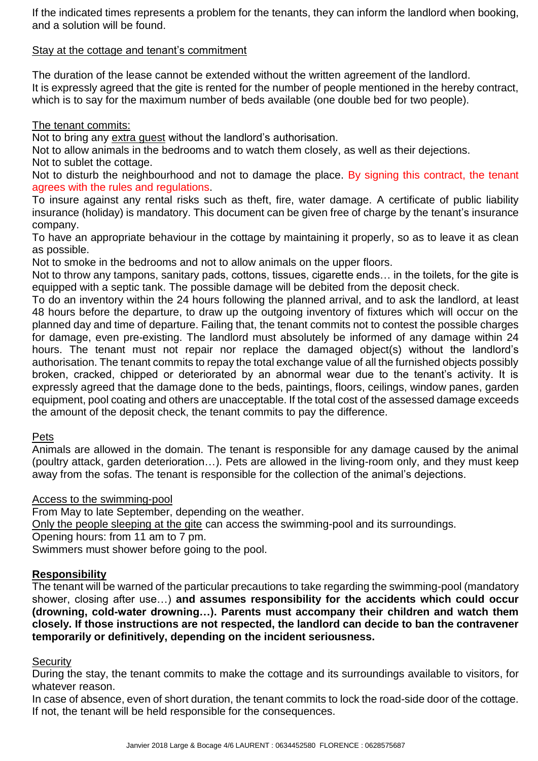If the indicated times represents a problem for the tenants, they can inform the landlord when booking, and a solution will be found.

#### Stay at the cottage and tenant's commitment

The duration of the lease cannot be extended without the written agreement of the landlord. It is expressly agreed that the gite is rented for the number of people mentioned in the hereby contract, which is to say for the maximum number of beds available (one double bed for two people).

#### The tenant commits:

Not to bring any extra guest without the landlord's authorisation.

Not to allow animals in the bedrooms and to watch them closely, as well as their dejections. Not to sublet the cottage.

Not to disturb the neighbourhood and not to damage the place. By signing this contract, the tenant agrees with the rules and regulations.

To insure against any rental risks such as theft, fire, water damage. A certificate of public liability insurance (holiday) is mandatory. This document can be given free of charge by the tenant's insurance company.

To have an appropriate behaviour in the cottage by maintaining it properly, so as to leave it as clean as possible.

Not to smoke in the bedrooms and not to allow animals on the upper floors.

Not to throw any tampons, sanitary pads, cottons, tissues, cigarette ends… in the toilets, for the gite is equipped with a septic tank. The possible damage will be debited from the deposit check.

To do an inventory within the 24 hours following the planned arrival, and to ask the landlord, at least 48 hours before the departure, to draw up the outgoing inventory of fixtures which will occur on the planned day and time of departure. Failing that, the tenant commits not to contest the possible charges for damage, even pre-existing. The landlord must absolutely be informed of any damage within 24 hours. The tenant must not repair nor replace the damaged object(s) without the landlord's authorisation. The tenant commits to repay the total exchange value of all the furnished objects possibly broken, cracked, chipped or deteriorated by an abnormal wear due to the tenant's activity. It is expressly agreed that the damage done to the beds, paintings, floors, ceilings, window panes, garden equipment, pool coating and others are unacceptable. If the total cost of the assessed damage exceeds the amount of the deposit check, the tenant commits to pay the difference.

#### Pets

Animals are allowed in the domain. The tenant is responsible for any damage caused by the animal (poultry attack, garden deterioration…). Pets are allowed in the living-room only, and they must keep away from the sofas. The tenant is responsible for the collection of the animal's dejections.

#### Access to the swimming-pool

From May to late September, depending on the weather.

Only the people sleeping at the gite can access the swimming-pool and its surroundings.

Opening hours: from 11 am to 7 pm.

Swimmers must shower before going to the pool.

#### **Responsibility**

The tenant will be warned of the particular precautions to take regarding the swimming-pool (mandatory shower, closing after use…) **and assumes responsibility for the accidents which could occur (drowning, cold-water drowning…). Parents must accompany their children and watch them closely. If those instructions are not respected, the landlord can decide to ban the contravener temporarily or definitively, depending on the incident seriousness.**

#### **Security**

During the stay, the tenant commits to make the cottage and its surroundings available to visitors, for whatever reason.

In case of absence, even of short duration, the tenant commits to lock the road-side door of the cottage. If not, the tenant will be held responsible for the consequences.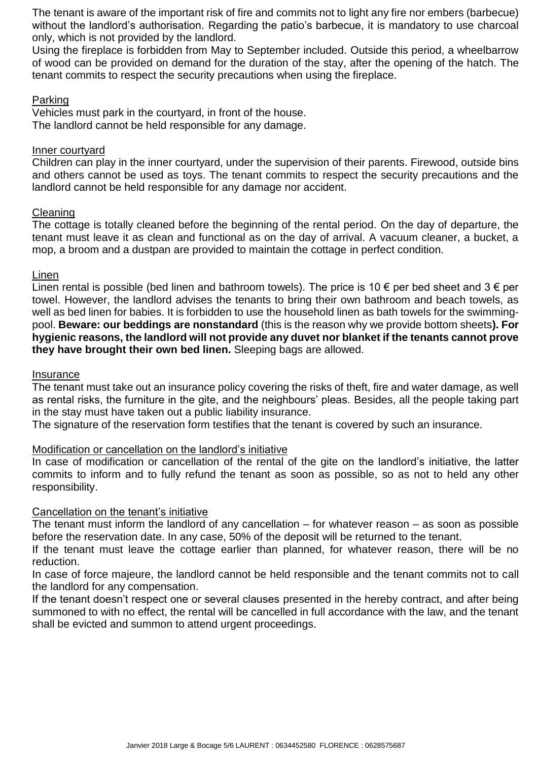The tenant is aware of the important risk of fire and commits not to light any fire nor embers (barbecue) without the landlord's authorisation. Regarding the patio's barbecue, it is mandatory to use charcoal only, which is not provided by the landlord.

Using the fireplace is forbidden from May to September included. Outside this period, a wheelbarrow of wood can be provided on demand for the duration of the stay, after the opening of the hatch. The tenant commits to respect the security precautions when using the fireplace.

#### Parking

Vehicles must park in the courtyard, in front of the house. The landlord cannot be held responsible for any damage.

#### Inner courtyard

Children can play in the inner courtyard, under the supervision of their parents. Firewood, outside bins and others cannot be used as toys. The tenant commits to respect the security precautions and the landlord cannot be held responsible for any damage nor accident.

#### Cleaning

The cottage is totally cleaned before the beginning of the rental period. On the day of departure, the tenant must leave it as clean and functional as on the day of arrival. A vacuum cleaner, a bucket, a mop, a broom and a dustpan are provided to maintain the cottage in perfect condition.

#### Linen

Linen rental is possible (bed linen and bathroom towels). The price is 10  $\epsilon$  per bed sheet and 3  $\epsilon$  per towel. However, the landlord advises the tenants to bring their own bathroom and beach towels, as well as bed linen for babies. It is forbidden to use the household linen as bath towels for the swimmingpool. **Beware: our beddings are nonstandard** (this is the reason why we provide bottom sheets**). For hygienic reasons, the landlord will not provide any duvet nor blanket if the tenants cannot prove they have brought their own bed linen.** Sleeping bags are allowed.

#### **Insurance**

The tenant must take out an insurance policy covering the risks of theft, fire and water damage, as well as rental risks, the furniture in the gite, and the neighbours' pleas. Besides, all the people taking part in the stay must have taken out a public liability insurance.

The signature of the reservation form testifies that the tenant is covered by such an insurance.

#### Modification or cancellation on the landlord's initiative

In case of modification or cancellation of the rental of the gite on the landlord's initiative, the latter commits to inform and to fully refund the tenant as soon as possible, so as not to held any other responsibility.

#### Cancellation on the tenant's initiative

The tenant must inform the landlord of any cancellation  $-$  for whatever reason  $-$  as soon as possible before the reservation date. In any case, 50% of the deposit will be returned to the tenant.

If the tenant must leave the cottage earlier than planned, for whatever reason, there will be no reduction.

In case of force majeure, the landlord cannot be held responsible and the tenant commits not to call the landlord for any compensation.

If the tenant doesn't respect one or several clauses presented in the hereby contract, and after being summoned to with no effect, the rental will be cancelled in full accordance with the law, and the tenant shall be evicted and summon to attend urgent proceedings.